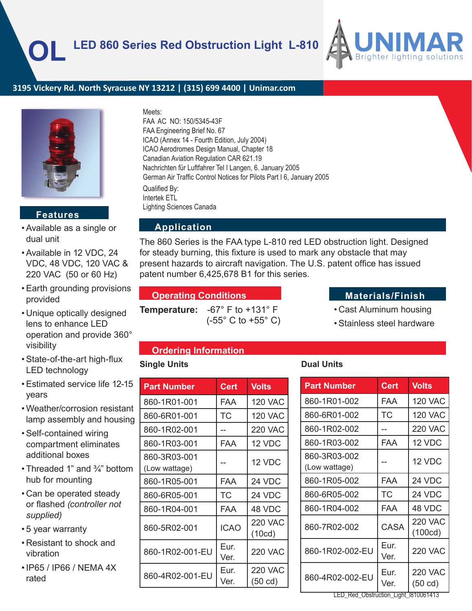

## **3195 Vickery Rd. North Syracuse NY 13212 | (315) 699 4400 | Unimar.com**



## **Features**

- Available as a single or dual unit
- Available in 12 VDC, 24 VDC, 48 VDC, 120 VAC & 220 VAC (50 or 60 Hz)
- Earth grounding provisions provided
- Unique optically designed lens to enhance LED operation and provide 360° visibility
- State-of-the-art high-flux LED technology
- Estimated service life 12-15 years
- Weather/corrosion resistant lamp assembly and housing
- Self-contained wiring compartment eliminates additional boxes
- Threaded 1" and 3/4" bottom hub for mounting
- Can be operated steady or flashed *(controller not supplied)*
- 5 year warranty
- Resistant to shock and vibration
- IP65 / IP66 / NEMA 4X rated

#### Meets:

FAA AC NO: 150/5345-43F FAA Engineering Brief No. 67 ICAO (Annex 14 - Fourth Edition, July 2004) ICAO Aerodromes Design Manual, Chapter 18 Canadian Aviation Regulation CAR 621.19 Nachrichten für Luftfahrer Tel I Langen, 6. January 2005 German Air Traffic Control Notices for Pilots Part I 6, January 2005 Qualified By: Intertek ETL Lighting Sciences Canada

## **Application**

The 860 Series is the FAA type L-810 red LED obstruction light. Designed for steady burning, this fixture is used to mark any obstacle that may present hazards to aircraft navigation. The U.S. patent office has issued patent number 6,425,678 B1 for this series.

### **Operating Conditions Conditions Materials/Finish**

**Temperature:** -67° F to +131° F (-55° C to +55° C)

- Cast Aluminum housing
- Stainless steel hardware

### **Ordering Information**

### **Single Units Dual Units**

| <b>Part Number</b>            | Cert         | <b>Volts</b>                 |
|-------------------------------|--------------|------------------------------|
| 860-1R01-001                  | FAA          | 120 VAC                      |
| 860-6R01-001                  | ТC           | 120 VAC                      |
| 860-1R02-001                  | --           | 220 VAC                      |
| 860-1R03-001                  | FAA          | 12 VDC                       |
| 860-3R03-001<br>(Low wattage) |              | 12 VDC                       |
| 860-1R05-001                  | FAA          | 24 VDC                       |
| 860-6R05-001                  | ТC           | 24 VDC                       |
| 860-1R04-001                  | <b>FAA</b>   | 48 VDC                       |
| 860-5R02-001                  | <b>ICAO</b>  | <b>220 VAC</b><br>(10cd)     |
| 860-1R02-001-EU               | Eur.<br>Ver. | <b>220 VAC</b>               |
| 860-4R02-001-EU               | Eur.<br>Ver. | 220 VAC<br>$(50 \text{ cd})$ |

| <b>Part Number</b>            | <b>Cert</b>  | <b>Volts</b>                        |  |  |
|-------------------------------|--------------|-------------------------------------|--|--|
| 860-1R01-002                  | FAA          | <b>120 VAC</b>                      |  |  |
| 860-6R01-002                  | ТC           | <b>120 VAC</b>                      |  |  |
| 860-1R02-002                  |              | <b>220 VAC</b>                      |  |  |
| 860-1R03-002                  | FAA          | 12 VDC                              |  |  |
| 860-3R03-002<br>(Low wattage) |              | 12 VDC                              |  |  |
| 860-1R05-002                  | FAA          | 24 VDC                              |  |  |
| 860-6R05-002                  | ТC           | 24 VDC                              |  |  |
| 860-1R04-002                  | FAA          | 48 VDC                              |  |  |
| 860-7R02-002                  | CASA         | 220 VAC<br>(100cd)                  |  |  |
| 860-1R02-002-EU               | Eur.<br>Ver. | <b>220 VAC</b>                      |  |  |
| 860-4R02-002-EU               | Eur.<br>Ver. | <b>220 VAC</b><br>$(50 \text{ cd})$ |  |  |

LED\_Red\_Obstruction\_Light\_l810061413